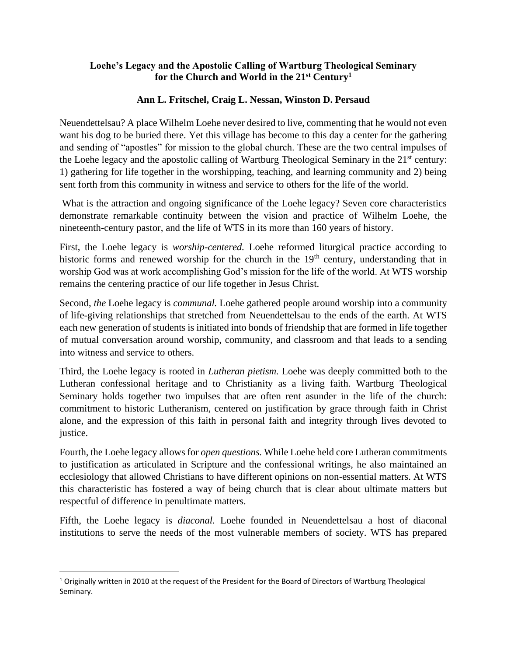## **Loehe's Legacy and the Apostolic Calling of Wartburg Theological Seminary for the Church and World in the 21st Century<sup>1</sup>**

## **Ann L. Fritschel, Craig L. Nessan, Winston D. Persaud**

Neuendettelsau? A place Wilhelm Loehe never desired to live, commenting that he would not even want his dog to be buried there. Yet this village has become to this day a center for the gathering and sending of "apostles" for mission to the global church. These are the two central impulses of the Loehe legacy and the apostolic calling of Wartburg Theological Seminary in the 21<sup>st</sup> century: 1) gathering for life together in the worshipping, teaching, and learning community and 2) being sent forth from this community in witness and service to others for the life of the world.

What is the attraction and ongoing significance of the Loehe legacy? Seven core characteristics demonstrate remarkable continuity between the vision and practice of Wilhelm Loehe, the nineteenth-century pastor, and the life of WTS in its more than 160 years of history.

First, the Loehe legacy is *worship-centered.* Loehe reformed liturgical practice according to historic forms and renewed worship for the church in the  $19<sup>th</sup>$  century, understanding that in worship God was at work accomplishing God's mission for the life of the world. At WTS worship remains the centering practice of our life together in Jesus Christ.

Second, *the* Loehe legacy is *communal.* Loehe gathered people around worship into a community of life-giving relationships that stretched from Neuendettelsau to the ends of the earth. At WTS each new generation of students is initiated into bonds of friendship that are formed in life together of mutual conversation around worship, community, and classroom and that leads to a sending into witness and service to others.

Third, the Loehe legacy is rooted in *Lutheran pietism.* Loehe was deeply committed both to the Lutheran confessional heritage and to Christianity as a living faith. Wartburg Theological Seminary holds together two impulses that are often rent asunder in the life of the church: commitment to historic Lutheranism, centered on justification by grace through faith in Christ alone, and the expression of this faith in personal faith and integrity through lives devoted to justice.

Fourth, the Loehe legacy allows for *open questions.* While Loehe held core Lutheran commitments to justification as articulated in Scripture and the confessional writings, he also maintained an ecclesiology that allowed Christians to have different opinions on non-essential matters. At WTS this characteristic has fostered a way of being church that is clear about ultimate matters but respectful of difference in penultimate matters.

Fifth, the Loehe legacy is *diaconal.* Loehe founded in Neuendettelsau a host of diaconal institutions to serve the needs of the most vulnerable members of society. WTS has prepared

 $1$  Originally written in 2010 at the request of the President for the Board of Directors of Wartburg Theological Seminary.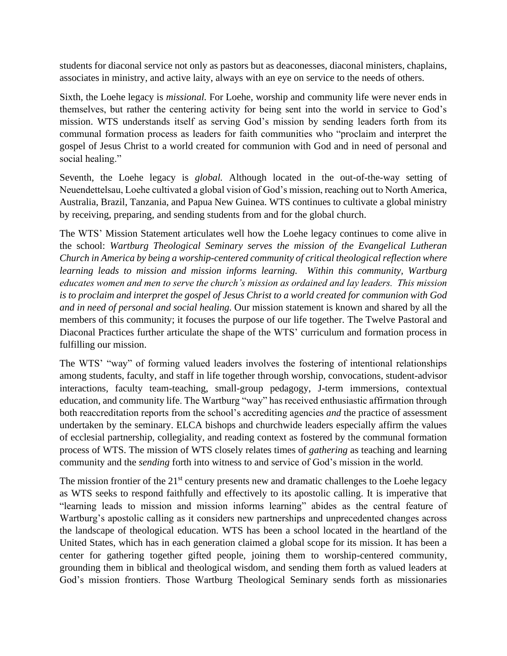students for diaconal service not only as pastors but as deaconesses, diaconal ministers, chaplains, associates in ministry, and active laity, always with an eye on service to the needs of others.

Sixth, the Loehe legacy is *missional.* For Loehe, worship and community life were never ends in themselves, but rather the centering activity for being sent into the world in service to God's mission. WTS understands itself as serving God's mission by sending leaders forth from its communal formation process as leaders for faith communities who "proclaim and interpret the gospel of Jesus Christ to a world created for communion with God and in need of personal and social healing."

Seventh, the Loehe legacy is *global.* Although located in the out-of-the-way setting of Neuendettelsau, Loehe cultivated a global vision of God's mission, reaching out to North America, Australia, Brazil, Tanzania, and Papua New Guinea. WTS continues to cultivate a global ministry by receiving, preparing, and sending students from and for the global church.

The WTS' Mission Statement articulates well how the Loehe legacy continues to come alive in the school: *Wartburg Theological Seminary serves the mission of the Evangelical Lutheran Church in America by being a worship-centered community of critical theological reflection where learning leads to mission and mission informs learning. Within this community, Wartburg educates women and men to serve the church's mission as ordained and lay leaders. This mission is to proclaim and interpret the gospel of Jesus Christ to a world created for communion with God and in need of personal and social healing.* Our mission statement is known and shared by all the members of this community; it focuses the purpose of our life together. The Twelve Pastoral and Diaconal Practices further articulate the shape of the WTS' curriculum and formation process in fulfilling our mission.

The WTS' "way" of forming valued leaders involves the fostering of intentional relationships among students, faculty, and staff in life together through worship, convocations, student-advisor interactions, faculty team-teaching, small-group pedagogy, J-term immersions, contextual education, and community life. The Wartburg "way" has received enthusiastic affirmation through both reaccreditation reports from the school's accrediting agencies *and* the practice of assessment undertaken by the seminary. ELCA bishops and churchwide leaders especially affirm the values of ecclesial partnership, collegiality, and reading context as fostered by the communal formation process of WTS. The mission of WTS closely relates times of *gathering* as teaching and learning community and the *sending* forth into witness to and service of God's mission in the world.

The mission frontier of the  $21<sup>st</sup>$  century presents new and dramatic challenges to the Loehe legacy as WTS seeks to respond faithfully and effectively to its apostolic calling. It is imperative that "learning leads to mission and mission informs learning" abides as the central feature of Wartburg's apostolic calling as it considers new partnerships and unprecedented changes across the landscape of theological education. WTS has been a school located in the heartland of the United States, which has in each generation claimed a global scope for its mission. It has been a center for gathering together gifted people, joining them to worship-centered community, grounding them in biblical and theological wisdom, and sending them forth as valued leaders at God's mission frontiers. Those Wartburg Theological Seminary sends forth as missionaries